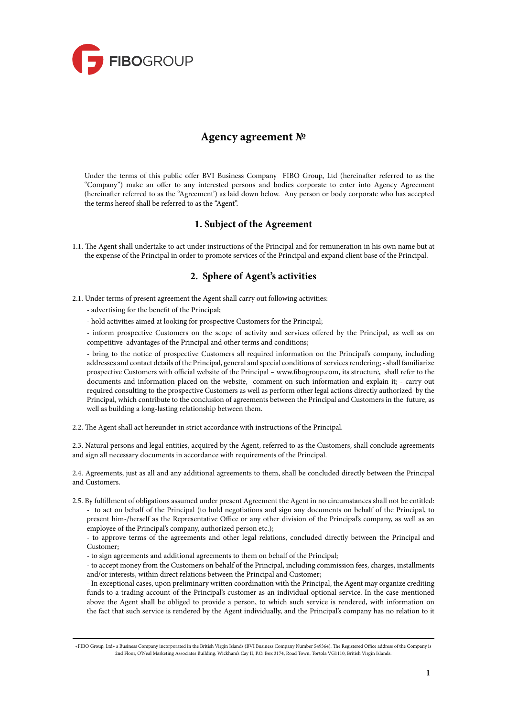

# **Agency agreement №**

Under the terms of this public offer BVI Business Company FIBO Group, Ltd (hereinafter referred to as the "Company") make an offer to any interested persons and bodies corporate to enter into Agency Agreement (hereinafter referred to as the "Agreement') as laid down below. Any person or body corporate who has accepted the terms hereof shall be referred to as the "Agent".

### **1. Subject of the Agreement**

1.1. The Agent shall undertake to act under instructions of the Principal and for remuneration in his own name but at the expense of the Principal in order to promote services of the Principal and expand client base of the Principal.

## **2. Sphere of Agent's activities**

2.1. Under terms of present agreement the Agent shall carry out following activities:

- advertising for the benefit of the Principal;
- hold activities aimed at looking for prospective Customers for the Principal;

- inform prospective Customers on the scope of activity and services offered by the Principal, as well as on competitive advantages of the Principal and other terms and conditions;

- bring to the notice of prospective Customers all required information on the Principal's company, including addresses and contact details of the Principal, general and special conditions of services rendering; - shall familiarize prospective Customers with official website of the Principal – [www.fibogroup.com, i](www.fibogroup.com,)ts structure, shall refer to the documents and information placed on the website, comment on such information and explain it; - carry out required consulting to the prospective Customers as well as perform other legal actions directly authorized by the Principal, which contribute to the conclusion of agreements between the Principal and Customers in the future, as well as building a long-lasting relationship between them.

2.2. The Agent shall act hereunder in strict accordance with instructions of the Principal.

2.3. Natural persons and legal entities, acquired by the Agent, referred to as the Customers, shall conclude agreements and sign all necessary documents in accordance with requirements of the Principal.

2.4. Agreements, just as all and any additional agreements to them, shall be concluded directly between the Principal and Customers.

2.5. By fulfillment of obligations assumed under present Agreement the Agent in no circumstances shall not be entitled: - to act on behalf of the Principal (to hold negotiations and sign any documents on behalf of the Principal, to present him-/herself as the Representative Office or any other division of the Principal's company, as well as an employee of the Principal's company, authorized person etc.);

- to approve terms of the agreements and other legal relations, concluded directly between the Principal and Customer;

- to sign agreements and additional agreements to them on behalf of the Principal;

- to accept money from the Customers on behalf of the Principal, including commission fees, charges, installments and/or interests, within direct relations between the Principal and Customer;

- In exceptional cases, upon preliminary written coordination with the Principal, the Agent may organize crediting funds to a trading account of the Principal's customer as an individual optional service. In the case mentioned above the Agent shall be obliged to provide a person, to which such service is rendered, with information on the fact that such service is rendered by the Agent individually, and the Principal's company has no relation to it

<sup>«</sup>FIBO Group, Ltd» a Business Company incorporated in the British Virgin Islands (BVI Business Company Number 549364). The Registered Office address of the Company is 2nd Floor, O'Neal Marketing Associates Building, Wickham's Cay II, P.O. Box 3174, Road Town, Tortola VG1110, British Virgin Islands.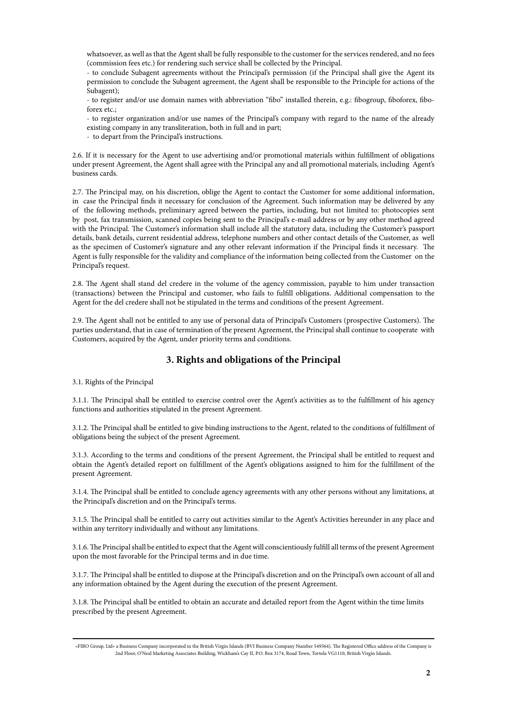whatsoever, as well as that the Agent shall be fully responsible to the customer for the services rendered, and no fees (commission fees etc.) for rendering such service shall be collected by the Principal.

- to conclude Subagent agreements without the Principal's permission (if the Principal shall give the Agent its permission to conclude the Subagent agreement, the Agent shall be responsible to the Principle for actions of the Subagent);

- to register and/or use domain names with abbreviation "fibo" installed therein, e.g.: fibogroup, fiboforex, fiboforex etc.;

- to register organization and/or use names of the Principal's company with regard to the name of the already existing company in any transliteration, both in full and in part;

- to depart from the Principal's instructions.

2.6. If it is necessary for the Agent to use advertising and/or promotional materials within fulfillment of obligations under present Agreement, the Agent shall agree with the Principal any and all promotional materials, including Agent's business cards.

2.7. The Principal may, on his discretion, oblige the Agent to contact the Customer for some additional information, in case the Principal finds it necessary for conclusion of the Agreement. Such information may be delivered by any of the following methods, preliminary agreed between the parties, including, but not limited to: photocopies sent by post, fax transmission, scanned copies being sent to the Principal's e-mail address or by any other method agreed with the Principal. The Customer's information shall include all the statutory data, including the Customer's passport details, bank details, current residential address, telephone numbers and other contact details of the Customer, as well as the specimen of Customer's signature and any other relevant information if the Principal finds it necessary. The Agent is fully responsible for the validity and compliance of the information being collected from the Customer on the Principal's request.

2.8. The Agent shall stand del credere in the volume of the agency commission, payable to him under transaction (transactions) between the Principal and customer, who fails to fulfill obligations. Additional compensation to the Agent for the del credere shall not be stipulated in the terms and conditions of the present Agreement.

2.9. The Agent shall not be entitled to any use of personal data of Principal's Customers (prospective Customers). The parties understand, that in case of termination of the present Agreement, the Principal shall continue to cooperate with Customers, acquired by the Agent, under priority terms and conditions.

#### **3. Rights and obligations of the Principal**

3.1. Rights of the Principal

3.1.1. The Principal shall be entitled to exercise control over the Agent's activities as to the fulfillment of his agency functions and authorities stipulated in the present Agreement.

3.1.2. The Principal shall be entitled to give binding instructions to the Agent, related to the conditions of fulfillment of obligations being the subject of the present Agreement.

3.1.3. According to the terms and conditions of the present Agreement, the Principal shall be entitled to request and obtain the Agent's detailed report on fulfillment of the Agent's obligations assigned to him for the fulfillment of the present Agreement.

3.1.4. The Principal shall be entitled to conclude agency agreements with any other persons without any limitations, at the Principal's discretion and on the Principal's terms.

3.1.5. The Principal shall be entitled to carry out activities similar to the Agent's Activities hereunder in any place and within any territory individually and without any limitations.

3.1.6. The Principal shall be entitled to expect that the Agent will conscientiously fulfill all terms of the present Agreement upon the most favorable for the Principal terms and in due time.

3.1.7. The Principal shall be entitled to dispose at the Principal's discretion and on the Principal's own account of all and any information obtained by the Agent during the execution of the present Agreement.

3.1.8. The Principal shall be entitled to obtain an accurate and detailed report from the Agent within the time limits prescribed by the present Agreement.

<sup>«</sup>FIBO Group, Ltd» a Business Company incorporated in the British Virgin Islands (BVI Business Company Number 549364). The Registered Office address of the Company is 2nd Floor, O'Neal Marketing Associates Building, Wickham's Cay II, P.O. Box 3174, Road Town, Tortola VG1110, British Virgin Islands.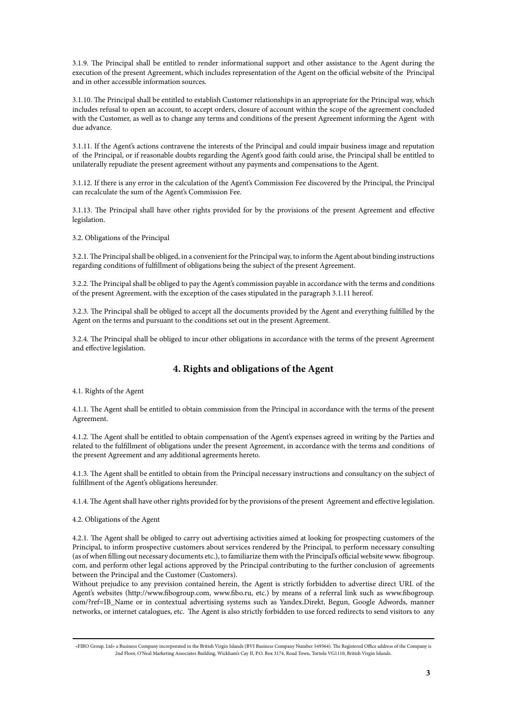3.1.9. The Principal shall be entitled to render informational support and other assistance to the Agent during the execution of the present Agreement, which includes representation of the Agent on the official website of the Principal and in other accessible information sources.

3.1.10. The Principal shall be entitled to establish Customer relationships in an appropriate for the Principal way, which includes refusal to open an account, to accept orders, closure of account within the scope of the agreement concluded with the Customer, as well as to change any terms and conditions of the present Agreement informing the Agent with due advance.

3.1.11. If the Agent's actions contravene the interests of the Principal and could impair business image and reputation of the Principal, or if reasonable doubts regarding the Agent's good faith could arise, the Principal shall be entitled to unilaterally repudiate the present agreement without any payments and compensations to the Agent.

3.1.12. If there is any error in the calculation of the Agent's Commission Fee discovered by the Principal, the Principal can recalculate the sum of the Agent's Commission Fee.

3.1.13. The Principal shall have other rights provided for by the provisions of the present Agreement and effective legislation.

3.2. Obligations of the Principal

3.2.1. The Principal shall be obliged, in a convenient for the Principal way, to inform the Agent about binding instructions regarding conditions of fulfillment of obligations being the subject of the present Agreement.

3.2.2. The Principal shall be obliged to pay the Agent's commission payable in accordance with the terms and conditions of the present Agreement, with the exception of the cases stipulated in the paragraph 3.1.11 hereof.

3.2.3. The Principal shall be obliged to accept all the documents provided by the Agent and everything fulfilled by the Agent on the terms and pursuant to the conditions set out in the present Agreement.

3.2.4. The Principal shall be obliged to incur other obligations in accordance with the terms of the present Agreement and effective legislation.

## **4. Rights and obligations of the Agent**

4.1. Rights of the Agent

4.1.1. The Agent shall be entitled to obtain commission from the Principal in accordance with the terms of the present Agreement.

4.1.2. The Agent shall be entitled to obtain compensation of the Agent's expenses agreed in writing by the Parties and related to the fulfillment of obligations under the present Agreement, in accordance with the terms and conditions of the present Agreement and any additional agreements hereto.

4.1.3. The Agent shall be entitled to obtain from the Principal necessary instructions and consultancy on the subject of fulfillment of the Agent's obligations hereunder.

4.1.4. The Agent shall have other rights provided for by the provisions of the present Agreement and effective legislation.

4.2. Obligations of the Agent

4.2.1. The Agent shall be obliged to carry out advertising activities aimed at looking for prospecting customers of the Principal, to inform prospective customers about services rendered by the Principal, to perform necessary consulting (as of when filling out necessary documents etc.), to familiarize them with the Principal's official website [www](www.). fibogroup. com, and perform other legal actions approved by the Principal contributing to the further conclusion of agreements between the Principal and the Customer (Customers).

Without prejudice to any prevision contained herein, the Agent is strictly forbidden to advertise direct URL of the Agent's websites [\(ht](http://www.fibogroup.com,)tp://www.fibogroup.com, [www.fibo.ru, et](www.fibo.ru,)c.) by means of a referral link such as [www.fibogroup](www.fibogroup.). com/?ref=IB\_Name or in contextual advertising systems such as Yandex.Direkt, Begun, Google Adwords, manner networks, or internet catalogues, etc. The Agent is also strictly forbidden to use forced redirects to send visitors to any

<sup>«</sup>FIBO Group, Ltd» a Business Company incorporated in the British Virgin Islands (BVI Business Company Number 549364). The Registered Office address of the Company is 2nd Floor, O'Neal Marketing Associates Building, Wickham's Cay II, P.O. Box 3174, Road Town, Tortola VG1110, British Virgin Islands.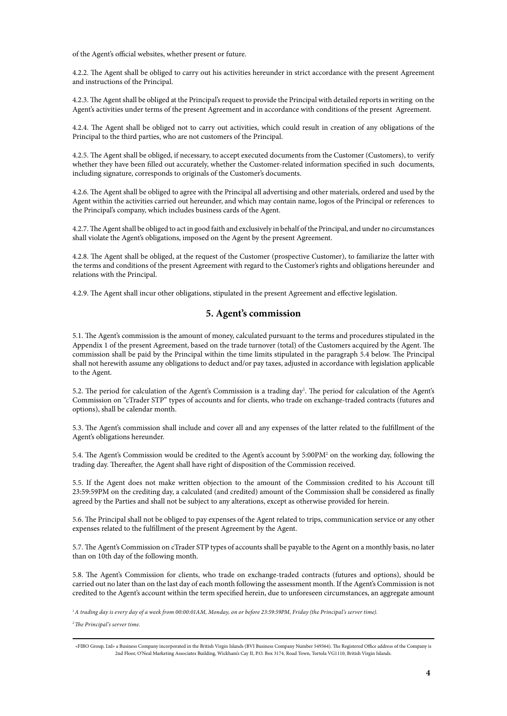of the Agent's official websites, whether present or future.

4.2.2. The Agent shall be obliged to carry out his activities hereunder in strict accordance with the present Agreement and instructions of the Principal.

4.2.3. The Agent shall be obliged at the Principal's request to provide the Principal with detailed reports in writing on the Agent's activities under terms of the present Agreement and in accordance with conditions of the present Agreement.

4.2.4. The Agent shall be obliged not to carry out activities, which could result in creation of any obligations of the Principal to the third parties, who are not customers of the Principal.

4.2.5. The Agent shall be obliged, if necessary, to accept executed documents from the Customer (Customers), to verify whether they have been filled out accurately, whether the Customer-related information specified in such documents, including signature, corresponds to originals of the Customer's documents.

4.2.6. The Agent shall be obliged to agree with the Principal all advertising and other materials, ordered and used by the Agent within the activities carried out hereunder, and which may contain name, logos of the Principal or references to the Principal's company, which includes business cards of the Agent.

4.2.7. The Agent shall be obliged to act in good faith and exclusively in behalf of the Principal, and under no circumstances shall violate the Agent's obligations, imposed on the Agent by the present Agreement.

4.2.8. The Agent shall be obliged, at the request of the Customer (prospective Customer), to familiarize the latter with the terms and conditions of the present Agreement with regard to the Customer's rights and obligations hereunder and relations with the Principal.

4.2.9. The Agent shall incur other obligations, stipulated in the present Agreement and effective legislation.

#### **5. Agent's commission**

5.1. The Agent's commission is the amount of money, calculated pursuant to the terms and procedures stipulated in the Appendix 1 of the present Agreement, based on the trade turnover (total) of the Customers acquired by the Agent. The commission shall be paid by the Principal within the time limits stipulated in the paragraph 5.4 below. The Principal shall not herewith assume any obligations to deduct and/or pay taxes, adjusted in accordance with legislation applicable to the Agent.

5.2. The period for calculation of the Agent's Commission is a trading day<sup>1</sup>. The period for calculation of the Agent's Commission on "cTrader STP" types of accounts and for clients, who trade on exchange-traded contracts (futures and options), shall be calendar month.

5.3. The Agent's commission shall include and cover all and any expenses of the latter related to the fulfillment of the Agent's obligations hereunder.

5.4. The Agent's Commission would be credited to the Agent's account by 5:00PM<sup>2</sup> on the working day, following the trading day. Thereafter, the Agent shall have right of disposition of the Commission received.

5.5. If the Agent does not make written objection to the amount of the Commission credited to his Account till 23:59:59PM on the crediting day, a calculated (and credited) amount of the Commission shall be considered as finally agreed by the Parties and shall not be subject to any alterations, except as otherwise provided for herein.

5.6. The Principal shall not be obliged to pay expenses of the Agent related to trips, communication service or any other expenses related to the fulfillment of the present Agreement by the Agent.

5.7. The Agent's Commission on cTrader STP types of accounts shall be payable to the Agent on a monthly basis, no later than on 10th day of the following month.

5.8. The Agent's Commission for clients, who trade on exchange-traded contracts (futures and options), should be carried out no later than on the last day of each month following the assessment month. If the Agent's Commission is not credited to the Agent's account within the term specified herein, due to unforeseen circumstances, an aggregate amount

*1 A trading day is every day of a week from 00:00:01AM, Monday, on or before 23:59:59PM, Friday (the Principal's server time).* 

*2 The Principal's server time.*

<sup>«</sup>FIBO Group, Ltd» a Business Company incorporated in the British Virgin Islands (BVI Business Company Number 549364). The Registered Office address of the Company is 2nd Floor, O'Neal Marketing Associates Building, Wickham's Cay II, P.O. Box 3174, Road Town, Tortola VG1110, British Virgin Islands.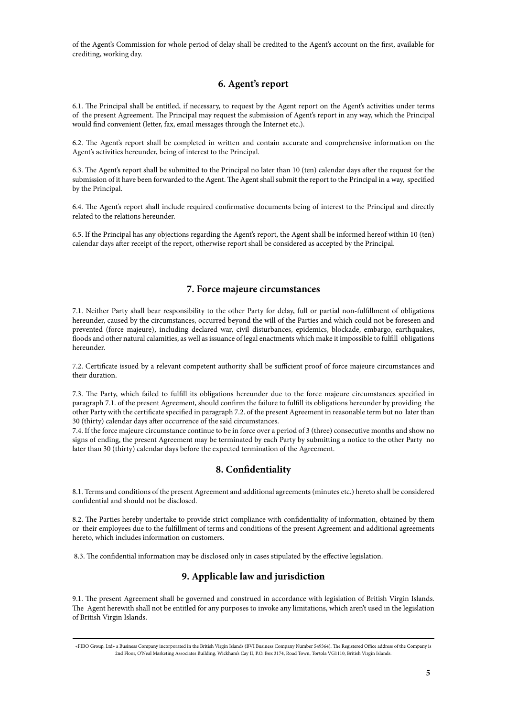of the Agent's Commission for whole period of delay shall be credited to the Agent's account on the first, available for crediting, working day.

### **6. Agent's report**

6.1. The Principal shall be entitled, if necessary, to request by the Agent report on the Agent's activities under terms of the present Agreement. The Principal may request the submission of Agent's report in any way, which the Principal would find convenient (letter, fax, email messages through the Internet etc.).

6.2. The Agent's report shall be completed in written and contain accurate and comprehensive information on the Agent's activities hereunder, being of interest to the Principal.

6.3. The Agent's report shall be submitted to the Principal no later than 10 (ten) calendar days after the request for the submission of it have been forwarded to the Agent. The Agent shall submit the report to the Principal in a way, specified by the Principal.

6.4. The Agent's report shall include required confirmative documents being of interest to the Principal and directly related to the relations hereunder.

6.5. If the Principal has any objections regarding the Agent's report, the Agent shall be informed hereof within 10 (ten) calendar days after receipt of the report, otherwise report shall be considered as accepted by the Principal.

#### **7. Force majeure circumstances**

7.1. Neither Party shall bear responsibility to the other Party for delay, full or partial non-fulfillment of obligations hereunder, caused by the circumstances, occurred beyond the will of the Parties and which could not be foreseen and prevented (force majeure), including declared war, civil disturbances, epidemics, blockade, embargo, earthquakes, floods and other natural calamities, as well as issuance of legal enactments which make it impossible to fulfill obligations hereunder.

7.2. Certificate issued by a relevant competent authority shall be sufficient proof of force majeure circumstances and their duration.

7.3. The Party, which failed to fulfill its obligations hereunder due to the force majeure circumstances specified in paragraph 7.1. of the present Agreement, should confirm the failure to fulfill its obligations hereunder by providing the other Party with the certificate specified in paragraph 7.2. of the present Agreement in reasonable term but no later than 30 (thirty) calendar days after occurrence of the said circumstances.

7.4. If the force majeure circumstance continue to be in force over a period of 3 (three) consecutive months and show no signs of ending, the present Agreement may be terminated by each Party by submitting a notice to the other Party no later than 30 (thirty) calendar days before the expected termination of the Agreement.

#### **8. Confidentiality**

8.1. Terms and conditions of the present Agreement and additional agreements (minutes etc.) hereto shall be considered confidential and should not be disclosed.

8.2. The Parties hereby undertake to provide strict compliance with confidentiality of information, obtained by them or their employees due to the fulfillment of terms and conditions of the present Agreement and additional agreements hereto, which includes information on customers.

8.3. The confidential information may be disclosed only in cases stipulated by the effective legislation.

## **9. Applicable law and jurisdiction**

9.1. The present Agreement shall be governed and construed in accordance with legislation of British Virgin Islands. The Agent herewith shall not be entitled for any purposes to invoke any limitations, which aren't used in the legislation of British Virgin Islands.

<sup>«</sup>FIBO Group, Ltd» a Business Company incorporated in the British Virgin Islands (BVI Business Company Number 549364). The Registered Office address of the Company is 2nd Floor, O'Neal Marketing Associates Building, Wickham's Cay II, P.O. Box 3174, Road Town, Tortola VG1110, British Virgin Islands.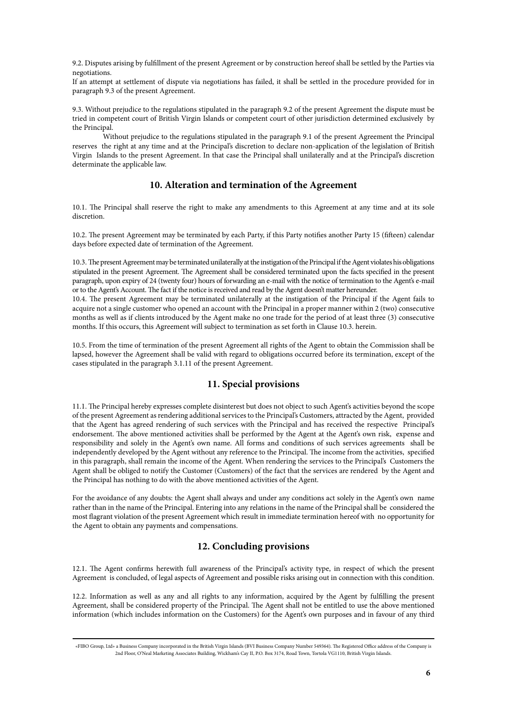9.2. Disputes arising by fulfillment of the present Agreement or by construction hereof shall be settled by the Parties via negotiations.

If an attempt at settlement of dispute via negotiations has failed, it shall be settled in the procedure provided for in paragraph 9.3 of the present Agreement.

9.3. Without prejudice to the regulations stipulated in the paragraph 9.2 of the present Agreement the dispute must be tried in competent court of British Virgin Islands or competent court of other jurisdiction determined exclusively by the Principal.

Without prejudice to the regulations stipulated in the paragraph 9.1 of the present Agreement the Principal reserves the right at any time and at the Principal's discretion to declare non-application of the legislation of British Virgin Islands to the present Agreement. In that case the Principal shall unilaterally and at the Principal's discretion determinate the applicable law.

#### **10. Alteration and termination of the Agreement**

10.1. The Principal shall reserve the right to make any amendments to this Agreement at any time and at its sole discretion.

10.2. The present Agreement may be terminated by each Party, if this Party notifies another Party 15 (fifteen) calendar days before expected date of termination of the Agreement.

10.3. The present Agreement may be terminated unilaterally at the instigation of the Principal if the Agent violates his obligations stipulated in the present Agreement. The Agreement shall be considered terminated upon the facts specified in the present paragraph, upon expiry of 24 (twenty four) hours of forwarding an e-mail with the notice of termination to the Agent's e-mail or to the Agent's Account. The fact if the notice is received and read by the Agent doesn't matter hereunder.

10.4. The present Agreement may be terminated unilaterally at the instigation of the Principal if the Agent fails to acquire not a single customer who opened an account with the Principal in a proper manner within 2 (two) consecutive months as well as if clients introduced by the Agent make no one trade for the period of at least three (3) consecutive months. If this occurs, this Agreement will subject to termination as set forth in Clause 10.3. herein.

10.5. From the time of termination of the present Agreement all rights of the Agent to obtain the Commission shall be lapsed, however the Agreement shall be valid with regard to obligations occurred before its termination, except of the cases stipulated in the paragraph 3.1.11 of the present Agreement.

### **11. Special provisions**

11.1. The Principal hereby expresses complete disinterest but does not object to such Agent's activities beyond the scope of the present Agreement as rendering additional services to the Principal's Customers, attracted by the Agent, provided that the Agent has agreed rendering of such services with the Principal and has received the respective Principal's endorsement. The above mentioned activities shall be performed by the Agent at the Agent's own risk, expense and responsibility and solely in the Agent's own name. All forms and conditions of such services agreements shall be independently developed by the Agent without any reference to the Principal. The income from the activities, specified in this paragraph, shall remain the income of the Agent. When rendering the services to the Principal's Customers the Agent shall be obliged to notify the Customer (Customers) of the fact that the services are rendered by the Agent and the Principal has nothing to do with the above mentioned activities of the Agent.

For the avoidance of any doubts: the Agent shall always and under any conditions act solely in the Agent's own name rather than in the name of the Principal. Entering into any relations in the name of the Principal shall be considered the most flagrant violation of the present Agreement which result in immediate termination hereof with no opportunity for the Agent to obtain any payments and compensations.

#### **12. Concluding provisions**

12.1. The Agent confirms herewith full awareness of the Principal's activity type, in respect of which the present Agreement is concluded, of legal aspects of Agreement and possible risks arising out in connection with this condition.

12.2. Information as well as any and all rights to any information, acquired by the Agent by fulfilling the present Agreement, shall be considered property of the Principal. The Agent shall not be entitled to use the above mentioned information (which includes information on the Customers) for the Agent's own purposes and in favour of any third

<sup>«</sup>FIBO Group, Ltd» a Business Company incorporated in the British Virgin Islands (BVI Business Company Number 549364). The Registered Office address of the Company is 2nd Floor, O'Neal Marketing Associates Building, Wickham's Cay II, P.O. Box 3174, Road Town, Tortola VG1110, British Virgin Islands.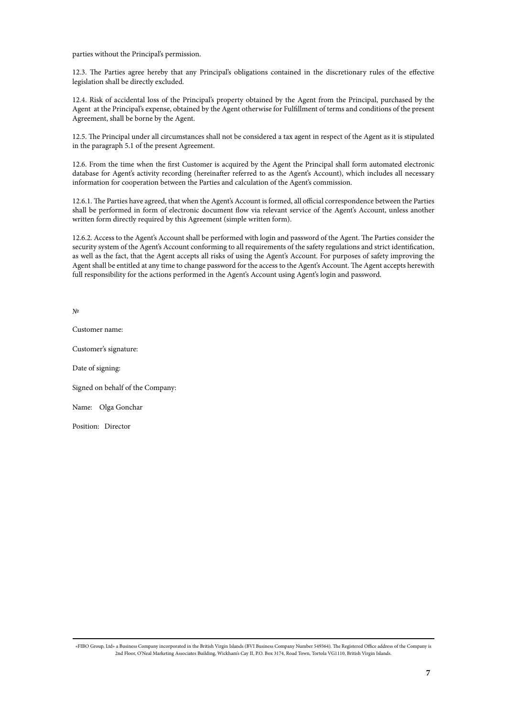parties without the Principal's permission.

12.3. The Parties agree hereby that any Principal's obligations contained in the discretionary rules of the effective legislation shall be directly excluded.

12.4. Risk of accidental loss of the Principal's property obtained by the Agent from the Principal, purchased by the Agent at the Principal's expense, obtained by the Agent otherwise for Fulfillment of terms and conditions of the present Agreement, shall be borne by the Agent.

12.5. The Principal under all circumstances shall not be considered a tax agent in respect of the Agent as it is stipulated in the paragraph 5.1 of the present Agreement.

12.6. From the time when the first Customer is acquired by the Agent the Principal shall form automated electronic database for Agent's activity recording (hereinafter referred to as the Agent's Account), which includes all necessary information for cooperation between the Parties and calculation of the Agent's commission.

12.6.1. The Parties have agreed, that when the Agent's Account is formed, all official correspondence between the Parties shall be performed in form of electronic document flow via relevant service of the Agent's Account, unless another written form directly required by this Agreement (simple written form).

12.6.2. Access to the Agent's Account shall be performed with login and password of the Agent. The Parties consider the security system of the Agent's Account conforming to all requirements of the safety regulations and strict identification, as well as the fact, that the Agent accepts all risks of using the Agent's Account. For purposes of safety improving the Agent shall be entitled at any time to change password for the access to the Agent's Account. The Agent accepts herewith full responsibility for the actions performed in the Agent's Account using Agent's login and password.

№

Customer name:

Customer's signature:

Date of signing:

Signed on behalf of the Company:

Name: Olga Gonchar

Position: Director

«FIBO Group, Ltd» a Business Company incorporated in the British Virgin Islands (BVI Business Company Number 549364). The Registered Office address of the Company is 2nd Floor, O'Neal Marketing Associates Building, Wickham's Cay II, P.O. Box 3174, Road Town, Tortola VG1110, British Virgin Islands.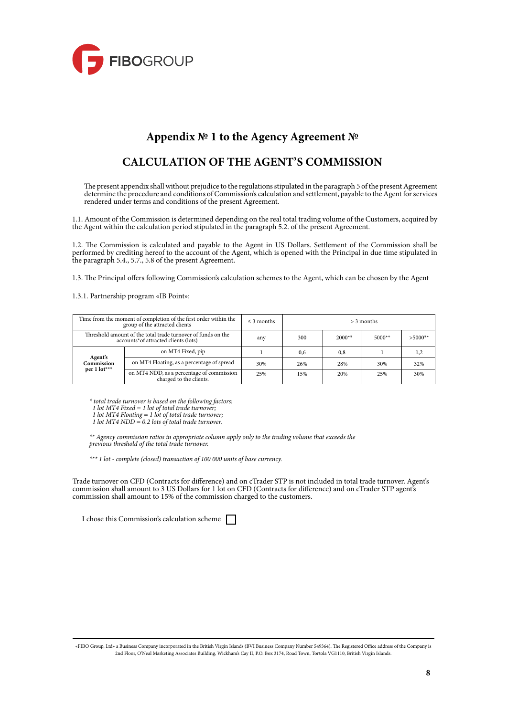

# **Appendix № 1 to the Agency Agreement №**

# **CALCULATION OF THE AGENT'S COMMISSION**

The present appendix shall without prejudice to the regulations stipulated in the paragraph 5 of the present Agreement determine the procedure and conditions of Commission's calculation and settlement, payable to the Agent for services rendered under terms and conditions of the present Agreement.

1.1. Amount of the Commission is determined depending on the real total trading volume of the Customers, acquired by the Agent within the calculation period stipulated in the paragraph 5.2. of the present Agreement.

1.2. The Commission is calculated and payable to the Agent in US Dollars. Settlement of the Commission shall be performed by crediting hereof to the account of the Agent, which is opened with the Principal in due time stipulated in the paragraph 5.4., 5.7., 5.8 of the present Agreement.

1.3. The Principal offers following Commission's calculation schemes to the Agent, which can be chosen by the Agent

1.3.1. Partnership program «IB Point»:

| Time from the moment of completion of the first order within the<br>group of the attracted clients   |                                                                      | $\leq$ 3 months | $>$ 3 months |          |          |           |  |
|------------------------------------------------------------------------------------------------------|----------------------------------------------------------------------|-----------------|--------------|----------|----------|-----------|--|
| Threshold amount of the total trade turnover of funds on the<br>accounts*of attracted clients (lots) |                                                                      | any             | 300          | $2000**$ | $5000**$ | $>5000**$ |  |
| Agent's<br>Commission<br>per $1$ lot <sup>***</sup>                                                  | on MT4 Fixed, pip                                                    |                 | 0.6          | 0.8      |          | 1,2       |  |
|                                                                                                      | on MT4 Floating, as a percentage of spread                           | 30%             | 26%          | 28%      | 30%      | 32%       |  |
|                                                                                                      | on MT4 NDD, as a percentage of commission<br>charged to the clients. | 25%             | 15%          | 20%      | 25%      | 30%       |  |

*\* total trade turnover is based on the following factors:*

 *1 lot MT4 Fixed = 1 lot of total trade turnover;*

 *1 lot MT4 Floating = 1 lot of total trade turnover;*

 *1 lot MT4 NDD = 0.2 lots of total trade turnover.*

*\*\* Agency commission ratios in appropriate column apply only to the trading volume that exceeds the previous threshold of the total trade turnover.*

*\*\*\* 1 lot - complete (closed) transaction of 100 000 units of base currency.*

Trade turnover on СFD (Contracts for difference) and on cTrader STP is not included in total trade turnover. Agent's commission shall amount to 3 US Dollars for 1 lot on CFD (Contracts for difference) and on cTrader STP agent's commission shall amount to 15% of the commission charged to the customers.

I chose this Commission's calculation scheme

<sup>«</sup>FIBO Group, Ltd» a Business Company incorporated in the British Virgin Islands (BVI Business Company Number 549364). The Registered Office address of the Company is 2nd Floor, O'Neal Marketing Associates Building, Wickham's Cay II, P.O. Box 3174, Road Town, Tortola VG1110, British Virgin Islands.